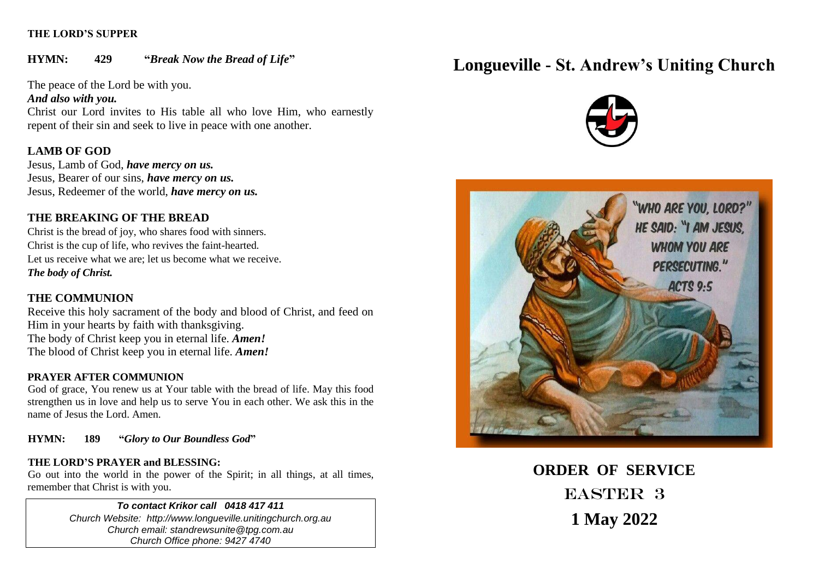### **THE LORD'S SUPPER**

**HYMN: 429 "***Break Now the Bread of Life***"**

The peace of the Lord be with you.

*And also with you.*

Christ our Lord invites to His table all who love Him, who earnestly repent of their sin and seek to live in peace with one another.

# **LAMB OF GOD**

Jesus, Lamb of God, *have mercy on us.* Jesus, Bearer of our sins, *have mercy on us.* Jesus, Redeemer of the world, *have mercy on us.*

# **THE BREAKING OF THE BREAD**

Christ is the bread of joy, who shares food with sinners. Christ is the cup of life, who revives the faint-hearted. Let us receive what we are; let us become what we receive. *The body of Christ.*

# **THE COMMUNION**

Receive this holy sacrament of the body and blood of Christ, and feed on Him in your hearts by faith with thanksgiving. The body of Christ keep you in eternal life. *Amen!* The blood of Christ keep you in eternal life. *Amen!*

# **PRAYER AFTER COMMUNION**

God of grace, You renew us at Your table with the bread of life. May this food strengthen us in love and help us to serve You in each other. We ask this in the name of Jesus the Lord. Amen.

**HYMN: 189 "***Glory to Our Boundless God***"**

# **THE LORD'S PRAYER and BLESSING:**

Go out into the world in the power of the Spirit; in all things, at all times, remember that Christ is with you.

### *To contact Krikor call 0418 417 411*

*Church Website: http://www.longueville.unitingchurch.org.au Church email: standrewsunite@tpg.com.au Church Office phone: 9427 4740*

# **Longueville - St. Andrew's Uniting Church**





**ORDER OF SERVICE** EASTER 3 **1 May 2022**